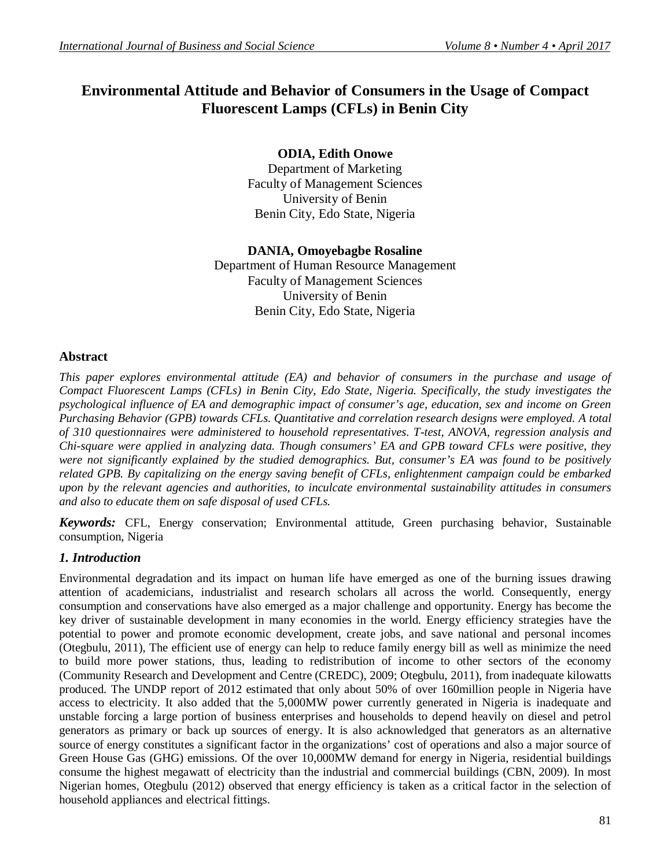# **Environmental Attitude and Behavior of Consumers in the Usage of Compact Fluorescent Lamps (CFLs) in Benin City**

# **ODIA, Edith Onowe**

Department of Marketing Faculty of Management Sciences University of Benin Benin City, Edo State, Nigeria

# **DANIA, Omoyebagbe Rosaline**

Department of Human Resource Management Faculty of Management Sciences University of Benin Benin City, Edo State, Nigeria

# **Abstract**

*This paper explores environmental attitude (EA) and behavior of consumers in the purchase and usage of Compact Fluorescent Lamps (CFLs) in Benin City, Edo State, Nigeria. Specifically, the study investigates the psychological influence of EA and demographic impact of consumer's age, education, sex and income on Green Purchasing Behavior (GPB) towards CFLs. Quantitative and correlation research designs were employed. A total of 310 questionnaires were administered to household representatives. T-test, ANOVA, regression analysis and Chi-square were applied in analyzing data. Though consumers' EA and GPB toward CFLs were positive, they were not significantly explained by the studied demographics. But, consumer's EA was found to be positively related GPB. By capitalizing on the energy saving benefit of CFLs, enlightenment campaign could be embarked upon by the relevant agencies and authorities, to inculcate environmental sustainability attitudes in consumers and also to educate them on safe disposal of used CFLs.*

*Keywords:* CFL, Energy conservation; Environmental attitude, Green purchasing behavior, Sustainable consumption, Nigeria

# *1. Introduction*

Environmental degradation and its impact on human life have emerged as one of the burning issues drawing attention of academicians, industrialist and research scholars all across the world. Consequently, energy consumption and conservations have also emerged as a major challenge and opportunity. Energy has become the key driver of sustainable development in many economies in the world. Energy efficiency strategies have the potential to power and promote economic development, create jobs, and save national and personal incomes (Otegbulu, 2011), The efficient use of energy can help to reduce family energy bill as well as minimize the need to build more power stations, thus, leading to redistribution of income to other sectors of the economy (Community Research and Development and Centre (CREDC), 2009; Otegbulu, 2011), from inadequate kilowatts produced. The UNDP report of 2012 estimated that only about 50% of over 160million people in Nigeria have access to electricity. It also added that the 5,000MW power currently generated in Nigeria is inadequate and unstable forcing a large portion of business enterprises and households to depend heavily on diesel and petrol generators as primary or back up sources of energy. It is also acknowledged that generators as an alternative source of energy constitutes a significant factor in the organizations' cost of operations and also a major source of Green House Gas (GHG) emissions. Of the over 10,000MW demand for energy in Nigeria, residential buildings consume the highest megawatt of electricity than the industrial and commercial buildings (CBN, 2009). In most Nigerian homes, Otegbulu (2012) observed that energy efficiency is taken as a critical factor in the selection of household appliances and electrical fittings.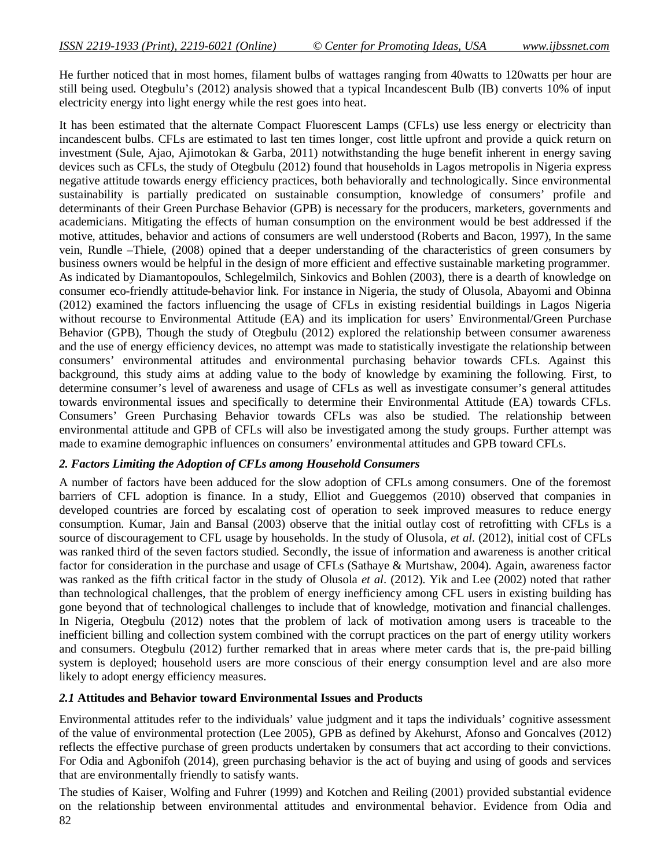He further noticed that in most homes, filament bulbs of wattages ranging from 40watts to 120watts per hour are still being used. Otegbulu's (2012) analysis showed that a typical Incandescent Bulb (IB) converts 10% of input electricity energy into light energy while the rest goes into heat.

It has been estimated that the alternate Compact Fluorescent Lamps (CFLs) use less energy or electricity than incandescent bulbs. CFLs are estimated to last ten times longer, cost little upfront and provide a quick return on investment (Sule, Ajao, Ajimotokan & Garba, 2011) notwithstanding the huge benefit inherent in energy saving devices such as CFLs, the study of Otegbulu (2012) found that households in Lagos metropolis in Nigeria express negative attitude towards energy efficiency practices, both behaviorally and technologically. Since environmental sustainability is partially predicated on sustainable consumption, knowledge of consumers' profile and determinants of their Green Purchase Behavior (GPB) is necessary for the producers, marketers, governments and academicians. Mitigating the effects of human consumption on the environment would be best addressed if the motive, attitudes, behavior and actions of consumers are well understood (Roberts and Bacon, 1997), In the same vein, Rundle –Thiele, (2008) opined that a deeper understanding of the characteristics of green consumers by business owners would be helpful in the design of more efficient and effective sustainable marketing programmer. As indicated by Diamantopoulos, Schlegelmilch, Sinkovics and Bohlen (2003), there is a dearth of knowledge on consumer eco-friendly attitude-behavior link. For instance in Nigeria, the study of Olusola, Abayomi and Obinna (2012) examined the factors influencing the usage of CFLs in existing residential buildings in Lagos Nigeria without recourse to Environmental Attitude (EA) and its implication for users' Environmental/Green Purchase Behavior (GPB), Though the study of Otegbulu (2012) explored the relationship between consumer awareness and the use of energy efficiency devices, no attempt was made to statistically investigate the relationship between consumers' environmental attitudes and environmental purchasing behavior towards CFLs. Against this background, this study aims at adding value to the body of knowledge by examining the following. First, to determine consumer's level of awareness and usage of CFLs as well as investigate consumer's general attitudes towards environmental issues and specifically to determine their Environmental Attitude (EA) towards CFLs. Consumers' Green Purchasing Behavior towards CFLs was also be studied. The relationship between environmental attitude and GPB of CFLs will also be investigated among the study groups. Further attempt was made to examine demographic influences on consumers' environmental attitudes and GPB toward CFLs.

# *2. Factors Limiting the Adoption of CFLs among Household Consumers*

A number of factors have been adduced for the slow adoption of CFLs among consumers. One of the foremost barriers of CFL adoption is finance. In a study, Elliot and Gueggemos (2010) observed that companies in developed countries are forced by escalating cost of operation to seek improved measures to reduce energy consumption. Kumar, Jain and Bansal (2003) observe that the initial outlay cost of retrofitting with CFLs is a source of discouragement to CFL usage by households. In the study of Olusola, *et al*. (2012), initial cost of CFLs was ranked third of the seven factors studied. Secondly, the issue of information and awareness is another critical factor for consideration in the purchase and usage of CFLs (Sathaye & Murtshaw, 2004). Again, awareness factor was ranked as the fifth critical factor in the study of Olusola *et al*. (2012). Yik and Lee (2002) noted that rather than technological challenges, that the problem of energy inefficiency among CFL users in existing building has gone beyond that of technological challenges to include that of knowledge, motivation and financial challenges. In Nigeria, Otegbulu (2012) notes that the problem of lack of motivation among users is traceable to the inefficient billing and collection system combined with the corrupt practices on the part of energy utility workers and consumers. Otegbulu (2012) further remarked that in areas where meter cards that is, the pre-paid billing system is deployed; household users are more conscious of their energy consumption level and are also more likely to adopt energy efficiency measures.

#### *2.1* **Attitudes and Behavior toward Environmental Issues and Products**

Environmental attitudes refer to the individuals' value judgment and it taps the individuals' cognitive assessment of the value of environmental protection (Lee 2005), GPB as defined by Akehurst, Afonso and Goncalves (2012) reflects the effective purchase of green products undertaken by consumers that act according to their convictions. For Odia and Agbonifoh (2014), green purchasing behavior is the act of buying and using of goods and services that are environmentally friendly to satisfy wants.

82 The studies of Kaiser, Wolfing and Fuhrer (1999) and Kotchen and Reiling (2001) provided substantial evidence on the relationship between environmental attitudes and environmental behavior. Evidence from Odia and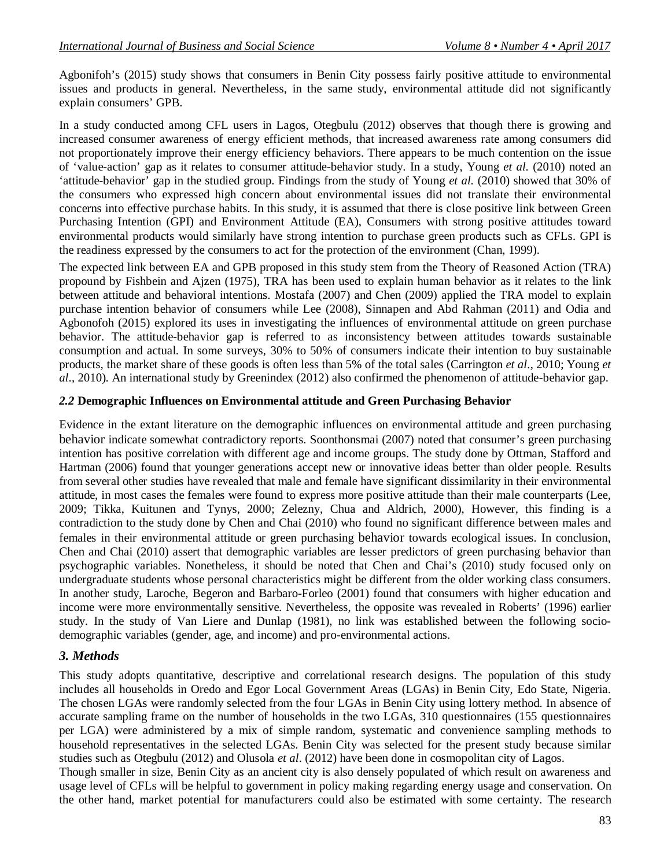Agbonifoh's (2015) study shows that consumers in Benin City possess fairly positive attitude to environmental issues and products in general. Nevertheless, in the same study, environmental attitude did not significantly explain consumers' GPB.

In a study conducted among CFL users in Lagos, Otegbulu (2012) observes that though there is growing and increased consumer awareness of energy efficient methods, that increased awareness rate among consumers did not proportionately improve their energy efficiency behaviors. There appears to be much contention on the issue of 'value-action' gap as it relates to consumer attitude-behavior study. In a study, Young *et al.* (2010) noted an 'attitude-behavior' gap in the studied group. Findings from the study of Young *et al.* (2010) showed that 30% of the consumers who expressed high concern about environmental issues did not translate their environmental concerns into effective purchase habits. In this study, it is assumed that there is close positive link between Green Purchasing Intention (GPI) and Environment Attitude (EA), Consumers with strong positive attitudes toward environmental products would similarly have strong intention to purchase green products such as CFLs. GPI is the readiness expressed by the consumers to act for the protection of the environment (Chan, 1999).

The expected link between EA and GPB proposed in this study stem from the Theory of Reasoned Action (TRA) propound by Fishbein and Ajzen (1975), TRA has been used to explain human behavior as it relates to the link between attitude and behavioral intentions. Mostafa (2007) and Chen (2009) applied the TRA model to explain purchase intention behavior of consumers while Lee (2008), Sinnapen and Abd Rahman (2011) and Odia and Agbonofoh (2015) explored its uses in investigating the influences of environmental attitude on green purchase behavior. The attitude-behavior gap is referred to as inconsistency between attitudes towards sustainable consumption and actual. In some surveys, 30% to 50% of consumers indicate their intention to buy sustainable products, the market share of these goods is often less than 5% of the total sales (Carrington *et al*., 2010; Young *et al*., 2010). An international study by Greenindex (2012) also confirmed the phenomenon of attitude-behavior gap.

#### *2.2* **Demographic Influences on Environmental attitude and Green Purchasing Behavior**

Evidence in the extant literature on the demographic influences on environmental attitude and green purchasing behavior indicate somewhat contradictory reports. Soonthonsmai (2007) noted that consumer's green purchasing intention has positive correlation with different age and income groups. The study done by Ottman, Stafford and Hartman (2006) found that younger generations accept new or innovative ideas better than older people. Results from several other studies have revealed that male and female have significant dissimilarity in their environmental attitude, in most cases the females were found to express more positive attitude than their male counterparts (Lee, 2009; Tikka, Kuitunen and Tynys, 2000; Zelezny, Chua and Aldrich, 2000), However, this finding is a contradiction to the study done by Chen and Chai (2010) who found no significant difference between males and females in their environmental attitude or green purchasing behavior towards ecological issues. In conclusion, Chen and Chai (2010) assert that demographic variables are lesser predictors of green purchasing behavior than psychographic variables. Nonetheless, it should be noted that Chen and Chai's (2010) study focused only on undergraduate students whose personal characteristics might be different from the older working class consumers. In another study, Laroche, Begeron and Barbaro-Forleo (2001) found that consumers with higher education and income were more environmentally sensitive. Nevertheless, the opposite was revealed in Roberts' (1996) earlier study. In the study of Van Liere and Dunlap (1981), no link was established between the following sociodemographic variables (gender, age, and income) and pro-environmental actions.

# *3. Methods*

This study adopts quantitative, descriptive and correlational research designs. The population of this study includes all households in Oredo and Egor Local Government Areas (LGAs) in Benin City, Edo State, Nigeria. The chosen LGAs were randomly selected from the four LGAs in Benin City using lottery method. In absence of accurate sampling frame on the number of households in the two LGAs, 310 questionnaires (155 questionnaires per LGA) were administered by a mix of simple random, systematic and convenience sampling methods to household representatives in the selected LGAs. Benin City was selected for the present study because similar studies such as Otegbulu (2012) and Olusola *et al*. (2012) have been done in cosmopolitan city of Lagos.

Though smaller in size, Benin City as an ancient city is also densely populated of which result on awareness and usage level of CFLs will be helpful to government in policy making regarding energy usage and conservation. On the other hand, market potential for manufacturers could also be estimated with some certainty. The research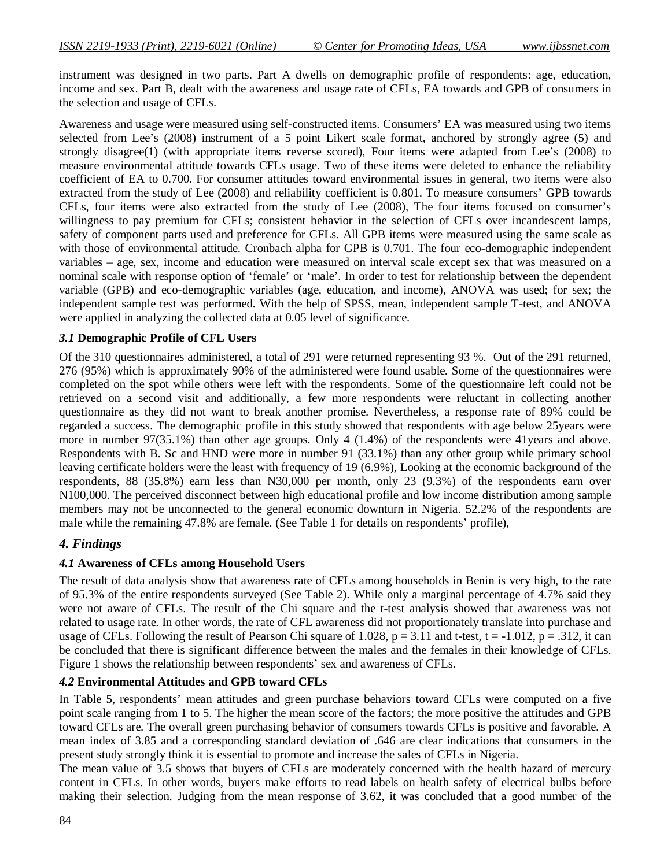instrument was designed in two parts. Part A dwells on demographic profile of respondents: age, education, income and sex. Part B, dealt with the awareness and usage rate of CFLs, EA towards and GPB of consumers in the selection and usage of CFLs.

Awareness and usage were measured using self-constructed items. Consumers' EA was measured using two items selected from Lee's (2008) instrument of a 5 point Likert scale format, anchored by strongly agree (5) and strongly disagree(1) (with appropriate items reverse scored), Four items were adapted from Lee's (2008) to measure environmental attitude towards CFLs usage. Two of these items were deleted to enhance the reliability coefficient of EA to 0.700. For consumer attitudes toward environmental issues in general, two items were also extracted from the study of Lee (2008) and reliability coefficient is 0.801. To measure consumers' GPB towards CFLs, four items were also extracted from the study of Lee (2008), The four items focused on consumer's willingness to pay premium for CFLs; consistent behavior in the selection of CFLs over incandescent lamps, safety of component parts used and preference for CFLs. All GPB items were measured using the same scale as with those of environmental attitude. Cronbach alpha for GPB is 0.701. The four eco-demographic independent variables – age, sex, income and education were measured on interval scale except sex that was measured on a nominal scale with response option of 'female' or 'male'. In order to test for relationship between the dependent variable (GPB) and eco-demographic variables (age, education, and income), ANOVA was used; for sex; the independent sample test was performed. With the help of SPSS, mean, independent sample T-test, and ANOVA were applied in analyzing the collected data at 0.05 level of significance.

#### *3.1* **Demographic Profile of CFL Users**

Of the 310 questionnaires administered, a total of 291 were returned representing 93 %. Out of the 291 returned, 276 (95%) which is approximately 90% of the administered were found usable. Some of the questionnaires were completed on the spot while others were left with the respondents. Some of the questionnaire left could not be retrieved on a second visit and additionally, a few more respondents were reluctant in collecting another questionnaire as they did not want to break another promise. Nevertheless, a response rate of 89% could be regarded a success. The demographic profile in this study showed that respondents with age below 25years were more in number 97(35.1%) than other age groups. Only 4 (1.4%) of the respondents were 41years and above. Respondents with B. Sc and HND were more in number 91 (33.1%) than any other group while primary school leaving certificate holders were the least with frequency of 19 (6.9%), Looking at the economic background of the respondents, 88 (35.8%) earn less than N30,000 per month, only 23 (9.3%) of the respondents earn over N100,000. The perceived disconnect between high educational profile and low income distribution among sample members may not be unconnected to the general economic downturn in Nigeria. 52.2% of the respondents are male while the remaining 47.8% are female. (See Table 1 for details on respondents' profile),

# *4. Findings*

# *4.1* **Awareness of CFLs among Household Users**

The result of data analysis show that awareness rate of CFLs among households in Benin is very high, to the rate of 95.3% of the entire respondents surveyed (See Table 2). While only a marginal percentage of 4.7% said they were not aware of CFLs. The result of the Chi square and the t-test analysis showed that awareness was not related to usage rate. In other words, the rate of CFL awareness did not proportionately translate into purchase and usage of CFLs. Following the result of Pearson Chi square of 1.028,  $p = 3.11$  and t-test,  $t = -1.012$ ,  $p = .312$ , it can be concluded that there is significant difference between the males and the females in their knowledge of CFLs. Figure 1 shows the relationship between respondents' sex and awareness of CFLs.

#### *4.2* **Environmental Attitudes and GPB toward CFLs**

In Table 5, respondents' mean attitudes and green purchase behaviors toward CFLs were computed on a five point scale ranging from 1 to 5. The higher the mean score of the factors; the more positive the attitudes and GPB toward CFLs are. The overall green purchasing behavior of consumers towards CFLs is positive and favorable. A mean index of 3.85 and a corresponding standard deviation of .646 are clear indications that consumers in the present study strongly think it is essential to promote and increase the sales of CFLs in Nigeria.

The mean value of 3.5 shows that buyers of CFLs are moderately concerned with the health hazard of mercury content in CFLs. In other words, buyers make efforts to read labels on health safety of electrical bulbs before making their selection. Judging from the mean response of 3.62, it was concluded that a good number of the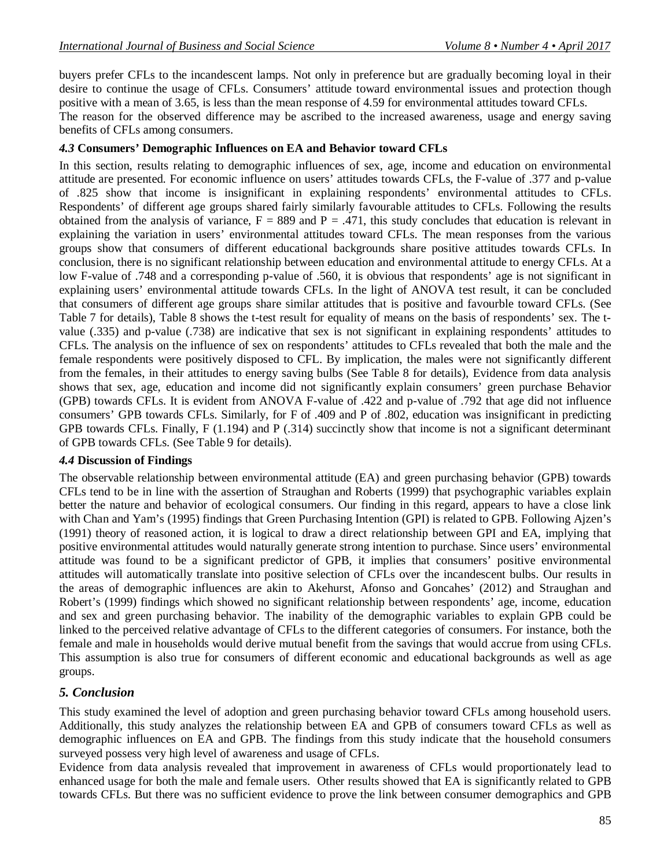buyers prefer CFLs to the incandescent lamps. Not only in preference but are gradually becoming loyal in their desire to continue the usage of CFLs. Consumers' attitude toward environmental issues and protection though positive with a mean of 3.65, is less than the mean response of 4.59 for environmental attitudes toward CFLs.

The reason for the observed difference may be ascribed to the increased awareness, usage and energy saving benefits of CFLs among consumers.

### *4.3* **Consumers' Demographic Influences on EA and Behavior toward CFLs**

In this section, results relating to demographic influences of sex, age, income and education on environmental attitude are presented. For economic influence on users' attitudes towards CFLs, the F-value of .377 and p-value of .825 show that income is insignificant in explaining respondents' environmental attitudes to CFLs. Respondents' of different age groups shared fairly similarly favourable attitudes to CFLs. Following the results obtained from the analysis of variance,  $F = 889$  and  $P = .471$ , this study concludes that education is relevant in explaining the variation in users' environmental attitudes toward CFLs. The mean responses from the various groups show that consumers of different educational backgrounds share positive attitudes towards CFLs. In conclusion, there is no significant relationship between education and environmental attitude to energy CFLs. At a low F-value of .748 and a corresponding p-value of .560, it is obvious that respondents' age is not significant in explaining users' environmental attitude towards CFLs. In the light of ANOVA test result, it can be concluded that consumers of different age groups share similar attitudes that is positive and favourble toward CFLs. (See Table 7 for details), Table 8 shows the t-test result for equality of means on the basis of respondents' sex. The tvalue (.335) and p-value (.738) are indicative that sex is not significant in explaining respondents' attitudes to CFLs. The analysis on the influence of sex on respondents' attitudes to CFLs revealed that both the male and the female respondents were positively disposed to CFL. By implication, the males were not significantly different from the females, in their attitudes to energy saving bulbs (See Table 8 for details), Evidence from data analysis shows that sex, age, education and income did not significantly explain consumers' green purchase Behavior (GPB) towards CFLs. It is evident from ANOVA F-value of .422 and p-value of .792 that age did not influence consumers' GPB towards CFLs. Similarly, for F of .409 and P of .802, education was insignificant in predicting GPB towards CFLs. Finally, F (1.194) and P (.314) succinctly show that income is not a significant determinant of GPB towards CFLs. (See Table 9 for details).

#### *4.4* **Discussion of Findings**

The observable relationship between environmental attitude (EA) and green purchasing behavior (GPB) towards CFLs tend to be in line with the assertion of Straughan and Roberts (1999) that psychographic variables explain better the nature and behavior of ecological consumers. Our finding in this regard, appears to have a close link with Chan and Yam's (1995) findings that Green Purchasing Intention (GPI) is related to GPB. Following Ajzen's (1991) theory of reasoned action, it is logical to draw a direct relationship between GPI and EA, implying that positive environmental attitudes would naturally generate strong intention to purchase. Since users' environmental attitude was found to be a significant predictor of GPB, it implies that consumers' positive environmental attitudes will automatically translate into positive selection of CFLs over the incandescent bulbs. Our results in the areas of demographic influences are akin to Akehurst, Afonso and Goncahes' (2012) and Straughan and Robert's (1999) findings which showed no significant relationship between respondents' age, income, education and sex and green purchasing behavior. The inability of the demographic variables to explain GPB could be linked to the perceived relative advantage of CFLs to the different categories of consumers. For instance, both the female and male in households would derive mutual benefit from the savings that would accrue from using CFLs. This assumption is also true for consumers of different economic and educational backgrounds as well as age groups.

# *5. Conclusion*

This study examined the level of adoption and green purchasing behavior toward CFLs among household users. Additionally, this study analyzes the relationship between EA and GPB of consumers toward CFLs as well as demographic influences on EA and GPB. The findings from this study indicate that the household consumers surveyed possess very high level of awareness and usage of CFLs.

Evidence from data analysis revealed that improvement in awareness of CFLs would proportionately lead to enhanced usage for both the male and female users. Other results showed that EA is significantly related to GPB towards CFLs. But there was no sufficient evidence to prove the link between consumer demographics and GPB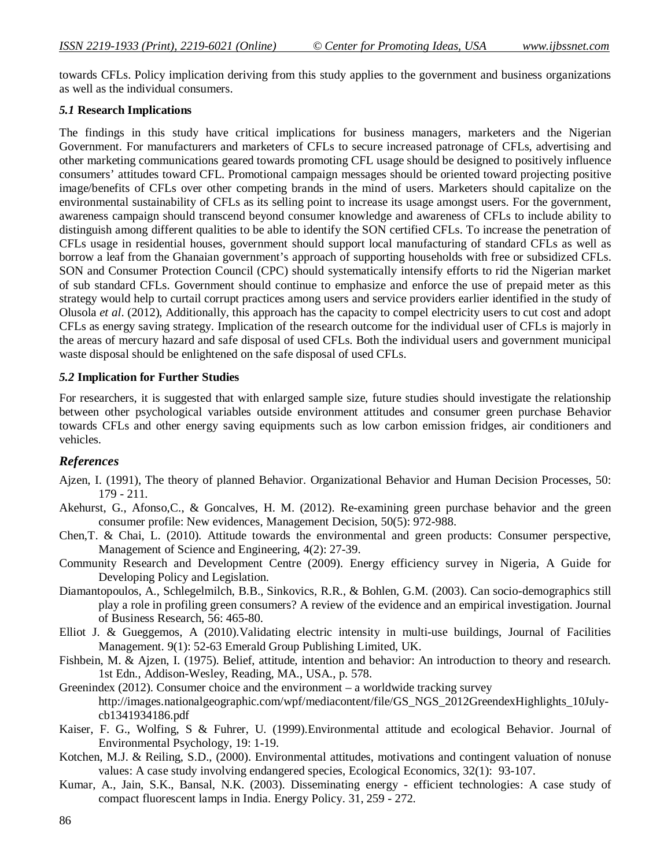towards CFLs. Policy implication deriving from this study applies to the government and business organizations as well as the individual consumers.

#### *5.1* **Research Implications**

The findings in this study have critical implications for business managers, marketers and the Nigerian Government. For manufacturers and marketers of CFLs to secure increased patronage of CFLs, advertising and other marketing communications geared towards promoting CFL usage should be designed to positively influence consumers' attitudes toward CFL. Promotional campaign messages should be oriented toward projecting positive image/benefits of CFLs over other competing brands in the mind of users. Marketers should capitalize on the environmental sustainability of CFLs as its selling point to increase its usage amongst users. For the government, awareness campaign should transcend beyond consumer knowledge and awareness of CFLs to include ability to distinguish among different qualities to be able to identify the SON certified CFLs. To increase the penetration of CFLs usage in residential houses, government should support local manufacturing of standard CFLs as well as borrow a leaf from the Ghanaian government's approach of supporting households with free or subsidized CFLs. SON and Consumer Protection Council (CPC) should systematically intensify efforts to rid the Nigerian market of sub standard CFLs. Government should continue to emphasize and enforce the use of prepaid meter as this strategy would help to curtail corrupt practices among users and service providers earlier identified in the study of Olusola *et al*. (2012), Additionally, this approach has the capacity to compel electricity users to cut cost and adopt CFLs as energy saving strategy. Implication of the research outcome for the individual user of CFLs is majorly in the areas of mercury hazard and safe disposal of used CFLs. Both the individual users and government municipal waste disposal should be enlightened on the safe disposal of used CFLs.

#### *5.2* **Implication for Further Studies**

For researchers, it is suggested that with enlarged sample size, future studies should investigate the relationship between other psychological variables outside environment attitudes and consumer green purchase Behavior towards CFLs and other energy saving equipments such as low carbon emission fridges, air conditioners and vehicles.

#### *References*

- Ajzen, I. (1991), The theory of planned Behavior. Organizational Behavior and Human Decision Processes, 50: 179 - 211.
- Akehurst, G., Afonso,C., & Goncalves, H. M. (2012). Re-examining green purchase behavior and the green consumer profile: New evidences, Management Decision, 50(5): 972-988.
- Chen,T. & Chai, L. (2010). Attitude towards the environmental and green products: Consumer perspective, Management of Science and Engineering, 4(2): 27-39.
- Community Research and Development Centre (2009). Energy efficiency survey in Nigeria, A Guide for Developing Policy and Legislation.
- Diamantopoulos, A., Schlegelmilch, B.B., Sinkovics, R.R., & Bohlen, G.M. (2003). Can socio-demographics still play a role in profiling green consumers? A review of the evidence and an empirical investigation. Journal of Business Research, 56: 465-80.
- Elliot J. & Gueggemos, A (2010).Validating electric intensity in multi-use buildings, Journal of Facilities Management. 9(1): 52-63 Emerald Group Publishing Limited, UK.
- Fishbein, M. & Ajzen, I. (1975). Belief, attitude, intention and behavior: An introduction to theory and research. 1st Edn., Addison-Wesley, Reading, MA., USA., p. 578.
- Greenindex (2012). Consumer choice and the environment a worldwide tracking survey http://images.nationalgeographic.com/wpf/mediacontent/file/GS\_NGS\_2012GreendexHighlights\_10Julycb1341934186.pdf
- Kaiser, F. G., Wolfing, S & Fuhrer, U. (1999).Environmental attitude and ecological Behavior. Journal of Environmental Psychology, 19: 1-19.
- Kotchen, M.J. & Reiling, S.D., (2000). Environmental attitudes, motivations and contingent valuation of nonuse values: A case study involving endangered species, Ecological Economics, 32(1): 93-107.
- Kumar, A., Jain, S.K., Bansal, N.K. (2003). Disseminating energy efficient technologies: A case study of compact fluorescent lamps in India. Energy Policy. 31, 259 - 272.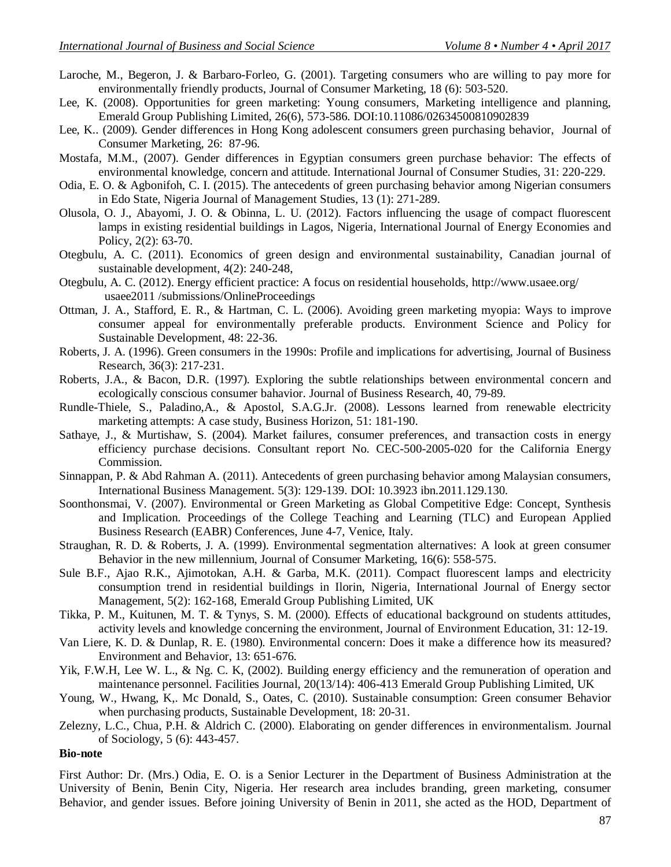- Laroche, M., Begeron, J. & Barbaro-Forleo, G. (2001). Targeting consumers who are willing to pay more for environmentally friendly products, Journal of Consumer Marketing, 18 (6): 503-520.
- Lee, K. (2008). Opportunities for green marketing: Young consumers, Marketing intelligence and planning, Emerald Group Publishing Limited, 26(6), 573-586. DOI:10.11086/02634500810902839
- Lee, K.. (2009). Gender differences in Hong Kong adolescent consumers green purchasing behavior, Journal of Consumer Marketing, 26: 87-96.
- Mostafa, M.M., (2007). Gender differences in Egyptian consumers green purchase behavior: The effects of environmental knowledge, concern and attitude. International Journal of Consumer Studies, 31: 220-229.
- Odia, E. O. & Agbonifoh, C. I. (2015). The antecedents of green purchasing behavior among Nigerian consumers in Edo State, Nigeria Journal of Management Studies, 13 (1): 271-289.
- Olusola, O. J., Abayomi, J. O. & Obinna, L. U. (2012). Factors influencing the usage of compact fluorescent lamps in existing residential buildings in Lagos, Nigeria, International Journal of Energy Economies and Policy, 2(2): 63-70.
- Otegbulu, A. C. (2011). Economics of green design and environmental sustainability, Canadian journal of sustainable development, 4(2): 240-248,
- Otegbulu, A. C. (2012). Energy efficient practice: A focus on residential households, http://www.usaee.org/ usaee2011 /submissions/OnlineProceedings
- Ottman, J. A., Stafford, E. R., & Hartman, C. L. (2006). Avoiding green marketing myopia: Ways to improve consumer appeal for environmentally preferable products. Environment Science and Policy for Sustainable Development, 48: 22-36.
- Roberts, J. A. (1996). Green consumers in the 1990s: Profile and implications for advertising, Journal of Business Research, 36(3): 217-231.
- Roberts, J.A., & Bacon, D.R. (1997). Exploring the subtle relationships between environmental concern and ecologically conscious consumer bahavior. Journal of Business Research, 40, 79-89.
- Rundle-Thiele, S., Paladino,A., & Apostol, S.A.G.Jr. (2008). Lessons learned from renewable electricity marketing attempts: A case study, Business Horizon, 51: 181-190.
- Sathaye, J., & Murtishaw, S. (2004). Market failures, consumer preferences, and transaction costs in energy efficiency purchase decisions. Consultant report No. CEC-500-2005-020 for the California Energy Commission.
- Sinnappan, P. & Abd Rahman A. (2011). Antecedents of green purchasing behavior among Malaysian consumers, International Business Management. 5(3): 129-139. DOI: 10.3923 ibn.2011.129.130.
- Soonthonsmai, V. (2007). Environmental or Green Marketing as Global Competitive Edge: Concept, Synthesis and Implication. Proceedings of the College Teaching and Learning (TLC) and European Applied Business Research (EABR) Conferences, June 4-7, Venice, Italy.
- Straughan, R. D. & Roberts, J. A. (1999). Environmental segmentation alternatives: A look at green consumer Behavior in the new millennium, Journal of Consumer Marketing, 16(6): 558-575.
- Sule B.F., Ajao R.K., Ajimotokan, A.H. & Garba, M.K. (2011). Compact fluorescent lamps and electricity consumption trend in residential buildings in Ilorin, Nigeria, International Journal of Energy sector Management, 5(2): 162-168, Emerald Group Publishing Limited, UK
- Tikka, P. M., Kuitunen, M. T. & Tynys, S. M. (2000). Effects of educational background on students attitudes, activity levels and knowledge concerning the environment, Journal of Environment Education, 31: 12-19.
- Van Liere, K. D. & Dunlap, R. E. (1980). Environmental concern: Does it make a difference how its measured? Environment and Behavior, 13: 651-676.
- Yik, F.W.H, Lee W. L., & Ng. C. K, (2002). Building energy efficiency and the remuneration of operation and maintenance personnel. Facilities Journal, 20(13/14): 406-413 Emerald Group Publishing Limited, UK
- Young, W., Hwang, K,. Mc Donald, S., Oates, C. (2010). Sustainable consumption: Green consumer Behavior when purchasing products, Sustainable Development, 18: 20-31.
- Zelezny, L.C., Chua, P.H. & Aldrich C. (2000). Elaborating on gender differences in environmentalism. Journal of Sociology, 5 (6): 443-457.

#### **Bio-note**

First Author: Dr. (Mrs.) Odia, E. O. is a Senior Lecturer in the Department of Business Administration at the University of Benin, Benin City, Nigeria. Her research area includes branding, green marketing, consumer Behavior, and gender issues. Before joining University of Benin in 2011, she acted as the HOD, Department of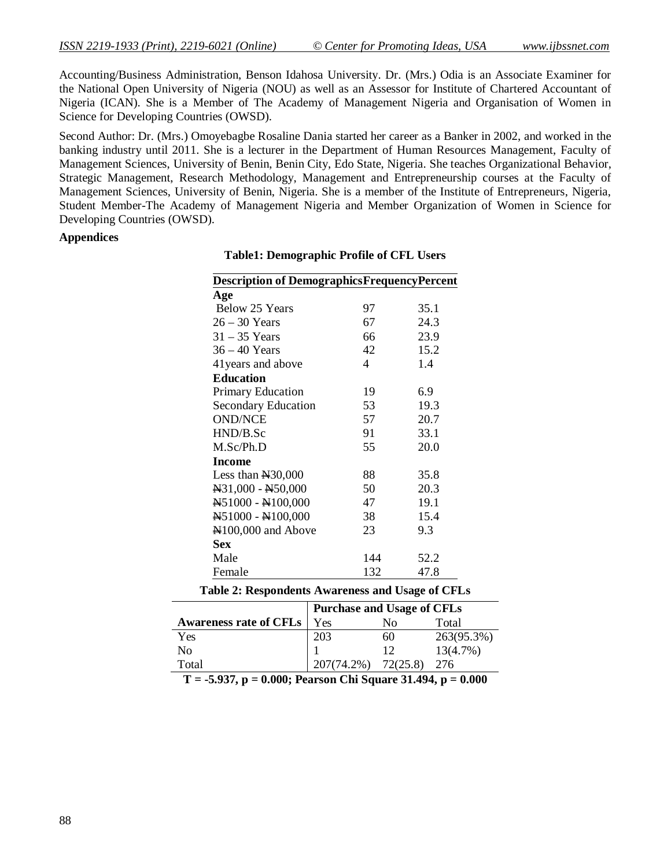Accounting/Business Administration, Benson Idahosa University. Dr. (Mrs.) Odia is an Associate Examiner for the National Open University of Nigeria (NOU) as well as an Assessor for Institute of Chartered Accountant of Nigeria (ICAN). She is a Member of The Academy of Management Nigeria and Organisation of Women in Science for Developing Countries (OWSD).

Second Author: Dr. (Mrs.) Omoyebagbe Rosaline Dania started her career as a Banker in 2002, and worked in the banking industry until 2011. She is a lecturer in the Department of Human Resources Management, Faculty of Management Sciences, University of Benin, Benin City, Edo State, Nigeria. She teaches Organizational Behavior, Strategic Management, Research Methodology, Management and Entrepreneurship courses at the Faculty of Management Sciences, University of Benin, Nigeria. She is a member of the Institute of Entrepreneurs, Nigeria, Student Member-The Academy of Management Nigeria and Member Organization of Women in Science for Developing Countries (OWSD).

#### **Appendices**

| <b>Description of Demographics Frequency Percent</b> |     |      |  |  |  |  |  |
|------------------------------------------------------|-----|------|--|--|--|--|--|
| Age                                                  |     |      |  |  |  |  |  |
| Below 25 Years                                       | 97  | 35.1 |  |  |  |  |  |
| $26 - 30$ Years                                      | 67  | 24.3 |  |  |  |  |  |
| $31 - 35$ Years                                      | 66  | 23.9 |  |  |  |  |  |
| $36 - 40$ Years                                      | 42  | 15.2 |  |  |  |  |  |
| 41 years and above                                   | 4   | 1.4  |  |  |  |  |  |
| <b>Education</b>                                     |     |      |  |  |  |  |  |
| <b>Primary Education</b>                             | 19  | 6.9  |  |  |  |  |  |
| <b>Secondary Education</b>                           | 53  | 19.3 |  |  |  |  |  |
| <b>OND/NCE</b>                                       | 57  | 20.7 |  |  |  |  |  |
| HND/B.Sc                                             | 91  | 33.1 |  |  |  |  |  |
| M.Sc/Ph.D                                            | 55  | 20.0 |  |  |  |  |  |
| <b>Income</b>                                        |     |      |  |  |  |  |  |
| Less than $\text{H}30,000$                           | 88  | 35.8 |  |  |  |  |  |
| N31,000 - N50,000                                    | 50  | 20.3 |  |  |  |  |  |
| N51000 - N100,000                                    | 47  | 19.1 |  |  |  |  |  |
| N51000 - N100,000                                    | 38  | 15.4 |  |  |  |  |  |
| N <sub>100</sub> ,000 and Above                      | 23  | 9.3  |  |  |  |  |  |
| <b>Sex</b>                                           |     |      |  |  |  |  |  |
| Male                                                 | 144 | 52.2 |  |  |  |  |  |
| Female                                               | 132 | 47.8 |  |  |  |  |  |

#### **Table1: Demographic Profile of CFL Users**

|  | Table 2: Respondents Awareness and Usage of CFLs |  |  |  |
|--|--------------------------------------------------|--|--|--|
|--|--------------------------------------------------|--|--|--|

|                               | <b>Purchase and Usage of CFLs</b> |          |            |  |  |  |  |
|-------------------------------|-----------------------------------|----------|------------|--|--|--|--|
| <b>Awareness rate of CFLs</b> | Yes                               | Nο       | Total      |  |  |  |  |
| Yes                           | 203                               | 60       | 263(95.3%) |  |  |  |  |
| No.                           |                                   | 12       | 13(4.7%)   |  |  |  |  |
| Total                         | 207(74.2%)                        | 72(25.8) | 276        |  |  |  |  |
|                               |                                   |          |            |  |  |  |  |

**T = -5.937, p = 0.000; Pearson Chi Square 31.494, p = 0.000**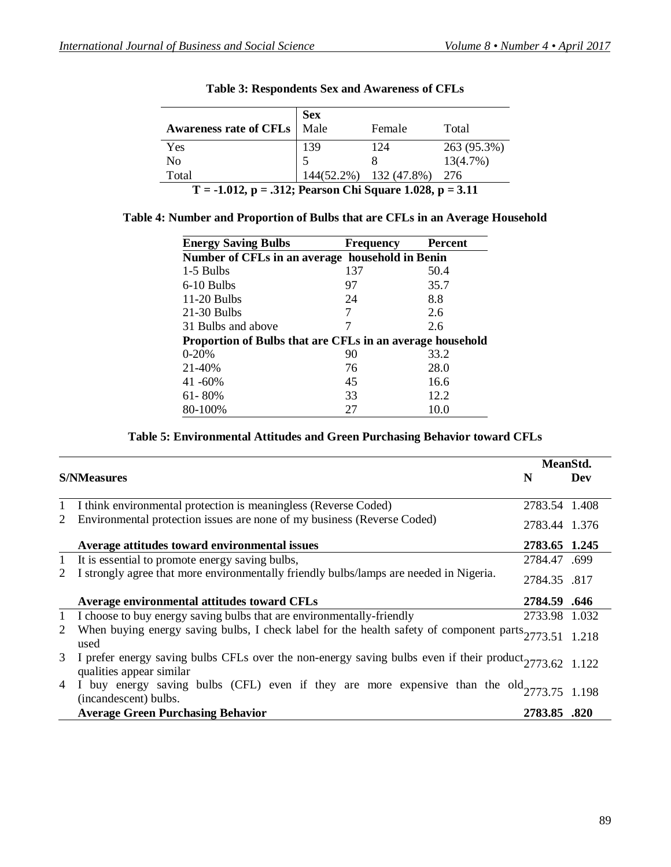|                                                             | <b>Sex</b><br>Male |                        | Total       |  |  |  |  |
|-------------------------------------------------------------|--------------------|------------------------|-------------|--|--|--|--|
| <b>Awareness rate of CFLs</b>                               |                    | Female                 |             |  |  |  |  |
| Yes                                                         | 139                | 124                    | 263 (95.3%) |  |  |  |  |
| N <sub>0</sub>                                              |                    |                        | 13(4.7%)    |  |  |  |  |
| Total                                                       |                    | 144(52.2%) 132 (47.8%) | -276        |  |  |  |  |
| $T = -1.012$ , p = .312; Pearson Chi Square 1.028, p = 3.11 |                    |                        |             |  |  |  |  |

|  | <b>Table 3: Respondents Sex and Awareness of CFLs</b> |  |  |  |
|--|-------------------------------------------------------|--|--|--|
|--|-------------------------------------------------------|--|--|--|

|  |  |  | Table 4: Number and Proportion of Bulbs that are CFLs in an Average Household |
|--|--|--|-------------------------------------------------------------------------------|
|  |  |  |                                                                               |

| <b>Energy Saving Bulbs</b>                                | <b>Frequency</b> | <b>Percent</b> |
|-----------------------------------------------------------|------------------|----------------|
| Number of CFLs in an average household in Benin           |                  |                |
| 1-5 Bulbs                                                 | 137              | 50.4           |
| 6-10 Bulbs                                                | 97               | 35.7           |
| $11-20$ Bulbs                                             | 24               | 8.8            |
| $21-30$ Bulbs                                             |                  | 2.6            |
| 31 Bulbs and above                                        |                  | 2.6            |
| Proportion of Bulbs that are CFLs in an average household |                  |                |
| $0 - 20%$                                                 | 90               | 33.2           |
| 21-40%                                                    | 76               | 28.0           |
| $41 - 60\%$                                               | 45               | 16.6           |
| $61 - 80\%$                                               | 33               | 12.2           |
| 80-100%                                                   | 27               | 10.0           |

# **Table 5: Environmental Attitudes and Green Purchasing Behavior toward CFLs**

|   |                                                                                                                                      |                     | MeanStd. |
|---|--------------------------------------------------------------------------------------------------------------------------------------|---------------------|----------|
|   | <b>S/NMeasures</b>                                                                                                                   | N                   | Dev      |
| 1 | I think environmental protection is meaningless (Reverse Coded)                                                                      | 2783.54 1.408       |          |
| 2 | Environmental protection issues are none of my business (Reverse Coded)                                                              | 2783.44 1.376       |          |
|   | Average attitudes toward environmental issues                                                                                        | 2783.65 1.245       |          |
| 1 | It is essential to promote energy saving bulbs,                                                                                      | 2784.47 .699        |          |
| 2 | I strongly agree that more environmentally friendly bulbs/lamps are needed in Nigeria.                                               | 2784.35 .817        |          |
|   | Average environmental attitudes toward CFLs                                                                                          | <b>2784.59 .646</b> |          |
| 1 | I choose to buy energy saving bulbs that are environmentally-friendly                                                                | 2733.98 1.032       |          |
| 2 | When buying energy saving bulbs, I check label for the health safety of component parts $2773.51$ 1.218<br>used                      |                     |          |
| 3 | I prefer energy saving bulbs CFLs over the non-energy saving bulbs even if their product $2773.62$ 1.122<br>qualities appear similar |                     |          |
| 4 | I buy energy saving bulbs (CFL) even if they are more expensive than the $old_{2773.75}$ 1.198<br>(incandescent) bulbs.              |                     |          |
|   | <b>Average Green Purchasing Behavior</b>                                                                                             | 2783.85 .820        |          |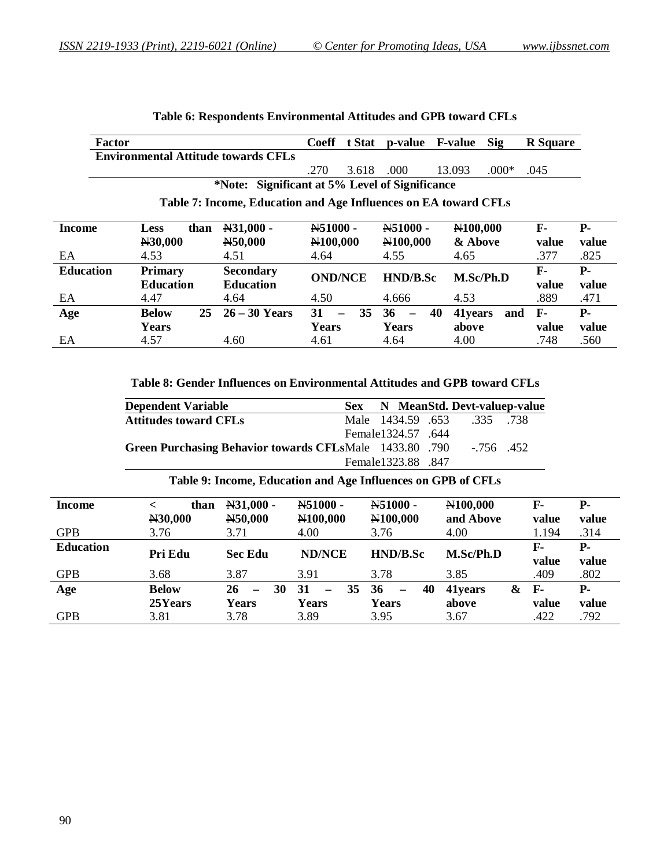|                                                | <b>Factor</b> |                  |      |                                                                 | <b>Coeff</b>          | t Stat               | p-value                        | <b>F-value</b> | Sig       | <b>R</b> Square |            |
|------------------------------------------------|---------------|------------------|------|-----------------------------------------------------------------|-----------------------|----------------------|--------------------------------|----------------|-----------|-----------------|------------|
|                                                |               |                  |      | <b>Environmental Attitude towards CFLs</b>                      |                       |                      |                                |                |           |                 |            |
|                                                |               |                  |      |                                                                 | .270                  | 3.618                | .000                           | 13.093         | $.000*$   | .045            |            |
| *Note: Significant at 5% Level of Significance |               |                  |      |                                                                 |                       |                      |                                |                |           |                 |            |
|                                                |               |                  |      | Table 7: Income, Education and Age Influences on EA toward CFLs |                       |                      |                                |                |           |                 |            |
|                                                |               |                  |      |                                                                 |                       |                      |                                |                |           |                 |            |
| Income                                         |               | <b>Less</b>      | than | N31,000 -                                                       | N51000 -              |                      | N51000 -                       | N100,000       |           | $\mathbf{F}$    | <b>P</b> - |
|                                                |               | N30,000          |      | N50,000                                                         | N <sub>100</sub> ,000 |                      | N <sub>100</sub> ,000          | & Above        |           | value           | value      |
| EA                                             |               | 4.53             |      | 4.51                                                            | 4.64                  |                      | 4.55                           | 4.65           |           | .377            | .825       |
| <b>Education</b>                               |               | <b>Primary</b>   |      | <b>Secondary</b>                                                | <b>OND/NCE</b>        |                      | <b>HND/B.Sc</b>                |                | M.Sc/Ph.D | $F-$            | <b>P</b> - |
|                                                |               | <b>Education</b> |      | <b>Education</b>                                                |                       |                      |                                |                |           | value           | value      |
| EA                                             |               | 4.47             |      | 4.64                                                            | 4.50                  |                      | 4.666                          | 4.53           |           | .889            | .471       |
| Age                                            |               | <b>Below</b>     | 25   | $26 - 30$ Years                                                 | 31                    | 35<br>$\overline{a}$ | 36<br>$\overline{\phantom{0}}$ | 40<br>41 years | and       | $\mathbf{F}$    | <b>P</b> - |
|                                                |               | Years            |      |                                                                 | Years                 |                      | Years                          | above          |           | value           | value      |
| EA                                             |               | 4.57             |      | 4.60                                                            | 4.61                  |                      | 4.64                           | 4.00           |           | .748            | .560       |

# **Table 6: Respondents Environmental Attitudes and GPB toward CFLs**

#### **Table 8: Gender Influences on Environmental Attitudes and GPB toward CFLs**

| <b>Dependent Variable</b>                               |                     |  | Sex N MeanStd. Devt-valuep-value |  |
|---------------------------------------------------------|---------------------|--|----------------------------------|--|
| <b>Attitudes toward CFLs</b>                            |                     |  | Male 1434.59 .653 .335 .738      |  |
|                                                         | Female 1324.57 .644 |  |                                  |  |
| Green Purchasing Behavior towards CFLsMale 1433.80 .790 |                     |  | $-756$ 452                       |  |
|                                                         | Female1323.88 .847  |  |                                  |  |

#### **Table 9: Income, Education and Age Influences on GPB of CFLs**

| <b>Income</b>    | than<br>N30,000 | $N31,000 -$<br>N50,000               | N51000 -<br>N100,000                 | N51000 -<br>N100,000                 | N100,000<br>and Above | F-<br>value    | <b>P</b> -<br>value |
|------------------|-----------------|--------------------------------------|--------------------------------------|--------------------------------------|-----------------------|----------------|---------------------|
| <b>GPB</b>       | 3.76            | 3.71                                 | 4.00                                 | 3.76                                 | 4.00                  | 1.194          | .314                |
| <b>Education</b> | Pri Edu         | <b>Sec Edu</b>                       | <b>ND/NCE</b>                        | HND/B.Sc                             | M.Sc/Ph.D             | F-             | <b>P</b> -          |
| <b>GPB</b>       | 3.68            | 3.87                                 | 3.91                                 | 3.78                                 | 3.85                  | value<br>.409  | value<br>.802       |
| Age              | <b>Below</b>    | 26<br>30<br>$\overline{\phantom{0}}$ | 31<br>35<br>$\overline{\phantom{0}}$ | 36<br>40<br>$\overline{\phantom{0}}$ | &<br>41years          | $\mathbf{F}$ - | <b>P</b> -          |
|                  | 25Years         | <b>Years</b>                         | <b>Years</b>                         | <b>Years</b>                         | above                 | value          | value               |
| <b>GPB</b>       | 3.81            | 3.78                                 | 3.89                                 | 3.95                                 | 3.67                  | .422           | .792                |

L.